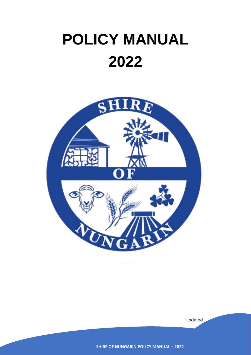# **POLICY MANUAL 2022**



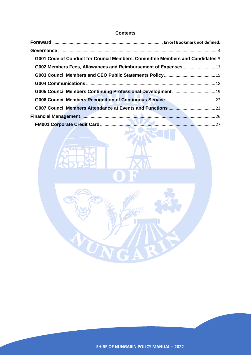## **Contents**

| G001 Code of Conduct for Council Members, Committee Members and Candidates 5 |  |
|------------------------------------------------------------------------------|--|
| G002 Members Fees, Allowances and Reimbursement of Expenses 13               |  |
|                                                                              |  |
|                                                                              |  |
|                                                                              |  |
|                                                                              |  |
|                                                                              |  |
|                                                                              |  |
|                                                                              |  |

**IFE** 

35



٨Ì

A

UNG

RIF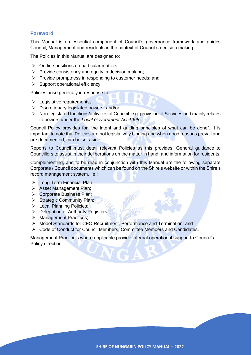# **Foreword**

This Manual is an essential component of Council's governance framework and guides Council, Management and residents in the context of Council's decision making.

The Policies in this Manual are designed to:

- $\triangleright$  Outline positions on particular matters
- $\triangleright$  Provide consistency and equity in decision making:
- ➢ Provide promptness in responding to customer needs; and
- $\triangleright$  Support operational efficiency.

Policies arise generally in response to:

- ➢ Legislative requirements;
- ➢ Discretionary legislated powers; and/or
- ➢ Non-legislated functions/activities of Council; e.g. provision of Services and mainly relates to powers under the *Local Government Act 1995*.

Council Policy provides for "the intent and guiding principles of what can be done". It is important to note that Policies are not legislatively binding and when good reasons prevail and are documented, can be set aside.

Reports to Council must detail relevant Policies as this provides: General guidance to Councillors to assist in their deliberations on the matter in hand, and information for residents.

Complementing, and to be read in conjunction with this Manual are the following separate Corporate / Council documents which can be found on the Shire's website or within the Shire's record management system, i.e.:

- ➢ Long Term Financial Plan;
- ➢ Asset Management Plan;
- ➢ Corporate Business Plan;
- ➢ Strategic Community Plan;
- ➢ Local Planning Policies;
- ➢ Delegation of Authority Registers
- ➢ Management Practices;
- ➢ Model Standards for CEO Recruitment, Performance and Termination; and
- ➢ Code of Conduct for Council Members, Committee Members and Candidates.

Management Practice's where applicable provide internal operational support to Council's Policy direction.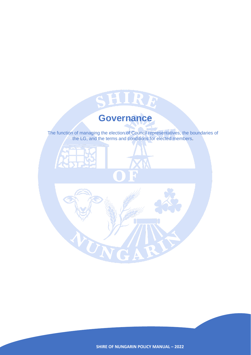<span id="page-3-0"></span>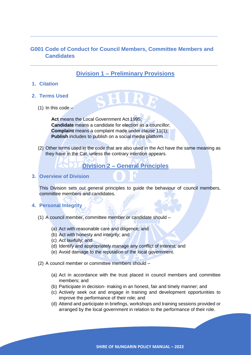# <span id="page-4-0"></span>**G001 Code of Conduct for Council Members, Committee Members and Candidates**

**\_\_\_\_\_\_\_\_\_\_\_\_\_\_\_\_\_\_\_\_\_\_\_\_\_\_\_\_\_\_\_\_\_\_\_\_\_\_\_\_\_\_\_\_\_\_\_\_\_\_\_\_\_\_\_\_\_**

**\_\_\_\_\_\_\_\_\_\_\_\_\_\_\_\_\_\_\_\_\_\_\_\_\_\_\_\_\_\_\_\_\_\_\_\_\_\_\_\_\_\_\_\_\_\_\_\_\_\_\_\_\_\_\_\_\_**

# **Division 1 – Preliminary Provisions**

## **1. Citation**

- **2. Terms Used**
	- $(1)$  In this code –

**Act** means the Local Government Act 1995; **Candidate** means a candidate for election as a councillor; **Complaint** means a complaint made under clause 11(1); **Publish** includes to publish on a social media platform.

(2) Other terms used in the code that are also used in the Act have the same meaning as they have in the Cat, unless the contrary intention appears.

**Division 2 – General Principles**

**3. Overview of Division**

This Division sets out general principles to guide the behaviour of council members, committee members and candidates.

# **4. Personal Integrity**

- (1) A council member, committee member or candidate should
	- (a) Act with reasonable care and diligence; and
	- (b) Act with honesty and integrity; and
	- (c) Act lawfully; and
	- (d) Identify and appropriately manage any conflict of interest; and
	- (e) Avoid damage to the reputation of the local government.
- (2) A council member or committee members should
	- (a) Act in accordance with the trust placed in council members and committee members; and
	- (b) Participate in decision- making in an honest, fair and timely manner; and
	- (c) Actively seek out and engage in training and development opportunities to improve the performance of their role; and
	- (d) Attend and participate in briefings, workshops and training sessions provided or arranged by the local government in relation to the performance of their role.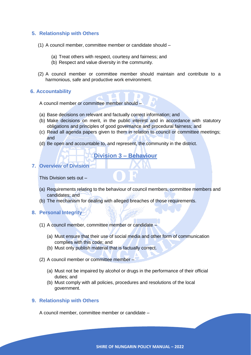# **5. Relationship with Others**

- (1) A council member, committee member or candidate should
	- (a) Treat others with respect, courtesy and fairness; and
	- (b) Respect and value diversity in the community.
- (2) A council member or committee member should maintain and contribute to a harmonious, safe and productive work environment.

#### **6. Accountability**

A council member or committee member should –

- (a) Base decisions on relevant and factually correct information; and
- (b) Make decisions on merit, in the public interest and in accordance with statutory obligations and principles of good governance and procedural fairness; and
- (c) Read all agenda papers given to them in relation to council or committee meetings; and
- (d) Be open and accountable to, and represent, the community in the district.

# **Division 3 – Behaviour**

#### **7. Overview of Division**

This Division sets out –

- (a) Requirements relating to the behaviour of council members, committee members and candidates; and
- (b) The mechanism for dealing with alleged breaches of those requirements.
- **8. Personal Integrity**
	- (1) A council member, committee member or candidate
		- (a) Must ensure that their use of social media and other form of communication complies with this code; and
		- (b) Must only publish material that is factually correct.
	- (2) A council member or committee member
		- (a) Must not be impaired by alcohol or drugs in the performance of their official duties; and
		- (b) Must comply with all policies, procedures and resolutions of the local government.

## **9. Relationship with Others**

A council member, committee member or candidate –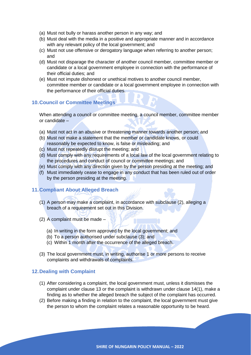- (a) Must not bully or harass another person in any way; and
- (b) Must deal with the media in a positive and appropriate manner and in accordance with any relevant policy of the local government; and
- (c) Must not use offensive or derogatory language when referring to another person; and
- (d) Must not disparage the character of another council member, committee member or candidate or a local government employee in connection with the performance of their official duties; and
- (e) Must not impute dishonest or unethical motives to another council member, committee member or candidate or a local government employee in connection with the performance of their official duties.

# **10.Council or Committee Meetings**

When attending a council or committee meeting, a council member, committee member or candidate –

- (a) Must not act in an abusive or threatening manner towards another person; and
- (b) Must not make a statement that the member or candidate knows, or could reasonably be expected to know, is false or misleading; and
- (c) Must not repeatedly disrupt the meeting; and
- (d) Must comply with any requirements of a local law of the local government relating to the procedures and conduct of council or committee meetings; and
- (e) Must comply with any direction given by the person presiding at the meeting; and
- (f) Must immediately cease to engage in any conduct that has been ruled out of order by the person presiding at the meeting.

## **11.Compliant About Alleged Breach**

- (1) A person may make a complaint, in accordance with subclause (2), alleging a breach of a requirement set out in this Division.
- (2) A complaint must be made
	- (a) In writing in the form approved by the local government; and
	- (b) To a person authorised under subclause (3); and
	- (c) Within 1 month after the occurrence of the alleged breach.
- (3) The local government must, in writing, authorise 1 or more persons to receive complaints and withdrawals of complaints.

#### **12.Dealing with Complaint**

- (1) After considering a complaint, the local government must, unless it dismisses the complaint under clause 13 or the complaint is withdrawn under clause 14(1), make a finding as to whether the alleged breach the subject of the complaint has occurred.
- (2) Before making a finding in relation to the complaint, the local government must give the person to whom the complaint relates a reasonable opportunity to be heard.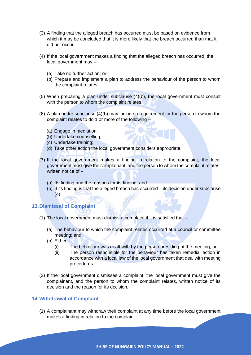- (3) A finding that the alleged breach has occurred must be based on evidence from which it may be concluded that it is more likely that the breach occurred than that it did not occur.
- (4) If the local government makes a finding that the alleged breach has occurred, the local government may –
	- (a) Take no further action; or
	- (b) Prepare and implement a plan to address the behaviour of the person to whom the complaint relates.
- (5) When preparing a plan under subclause (4)(b), the local government must consult with the person to whom the complaint relates.
- $(6)$  A plan under subclause  $(4)(b)$  may include a requirement for the person to whom the complaint relates to do 1 or more of the following –
	- (a) Engage in mediation;
	- (b) Undertake counselling;
	- (c) Undertake training;
	- (d) Take other action the local government considers appropriate.
- (7) If the local government makes a finding in relation to the complaint, the local government must give the complainant, and the person to whom the complaint relates, written notice of –
	- (a) Its finding and the reasons for its finding; and
	- (b) If its finding is that the alleged breach has occurred its decision under subclause (4)

**13.Dismissal of Complaint**

- (1) The local government must dismiss a complaint if it is satisfied that
	- (a) The behaviour to which the complaint relates occurred at a council or committee meeting; and
	- (b) Either
		- (i) The behaviour was dealt with by the person presiding at the meeting; or
		- (ii) The person responsible for the behaviour has taken remedial action in accordance with a local law of the local government that deal with meeting procedures.
- (2) If the local government dismisses a complaint, the local government must give the complainant, and the person to whom the complaint relates, written notice of its decision and the reason for its decision.

# **14.Withdrawal of Complaint**

(1) A complainant may withdraw their complaint at any time before the local government makes a finding in relation to the complaint.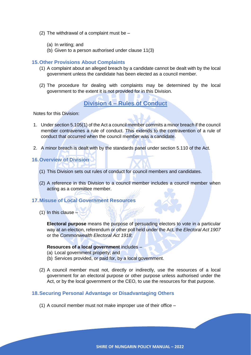- (2) The withdrawal of a complaint must be
	- (a) In writing; and
	- (b) Given to a person authorised under clause 11(3)

#### **15.Other Provisions About Complaints**

- (1) A complaint about an alleged breach by a candidate cannot be dealt with by the local government unless the candidate has been elected as a council member.
- (2) The procedure for dealing with complaints may be determined by the local government to the extent it is not provided for in this Division.

# **Division 4 – Rules of Conduct**

Notes for this Division:

- 1. Under section 5.105(1) of the Act a council member commits a minor breach if the council member contravenes a rule of conduct. This extends to the contravention of a rule of conduct that occurred when the council member was a candidate.
- 2. A minor breach is dealt with by the standards panel under section 5.110 of the Act.
- **16.Overview of Division**
	- (1) This Division sets out rules of conduct for council members and candidates.
	- (2) A reference in this Division to a council member includes a council member when acting as a committee member.

#### **17.Misuse of Local Government Resources**

(1) In this clause  $\overline{4}$ 

**Electoral purpose** means the purpose of persuading electors to vote in a particular way at an election, referendum or other poll held under the Act, the *Electoral Act 1907* or the *Commonwealth Electoral Act 1918*;

#### **Resources of a local government** includes –

- (a) Local government property; and
- (b) Services provided, or paid for, by a local government.
- (2) A council member must not, directly or indirectly, use the resources of a local government for an electoral purpose or other purpose unless authorised under the Act, or by the local government or the CEO, to use the resources for that purpose.

#### **18.Securing Personal Advantage or Disadvantaging Others**

(1) A council member must not make improper use of their office –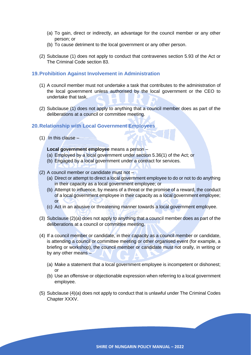- (a) To gain, direct or indirectly, an advantage for the council member or any other person; or
- (b) To cause detriment to the local government or any other person.
- (2) Subclause (1) does not apply to conduct that contravenes section 5.93 of the Act or The Criminal Code section 83.

# **19.Prohibition Against Involvement in Administration**

- (1) A council member must not undertake a task that contributes to the administration of the local government unless authorised by the local government or the CEO to undertake that task.
- (2) Subclause (1) does not apply to anything that a council member does as part of the deliberations at a council or committee meeting.

## **20.Relationship with Local Government Employees**

 $(1)$  In this clause –

#### **Local government employee** means a person –

- (a) Employed by a local government under section 5.36(1) of the Act; or
- (b) Engaged by a local government under a contract for services.
- (2) A council member or candidate must not
	- (a) Direct or attempt to direct a local government employee to do or not to do anything in their capacity as a local government employee; or
	- (b) Attempt to influence, by means of a threat or the promise of a reward, the conduct of a local government employee in their capacity as a local government employee; or
	- (c) Act in an abusive or threatening manner towards a local government employee.
- (3) Subclause (2)(a) does not apply to anything that a council member does as part of the deliberations at a council or committee meeting.
- (4) If a council member or candidate, in their capacity as a council member or candidate, is attending a council or committee meeting or other organised event (for example, a briefing or workshop), the council member or candidate must not orally, in writing or by any other means –
	- (a) Make a statement that a local government employee is incompetent or dishonest; or
	- (b) Use an offensive or objectionable expression when referring to a local government employee.
- (5) Subclause (4)(a) does not apply to conduct that is unlawful under The Criminal Codes Chapter XXXV.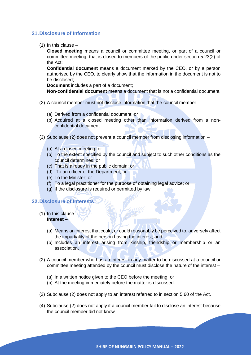# **21.Disclosure of Information**

(1) In this clause –

**Closed meeting** means a council or committee meeting, or part of a council or committee meeting, that is closed to members of the public under section 5.23(2) of the Act;

**Confidential document** means a document marked by the CEO, or by a person authorised by the CEO, to clearly show that the information in the document is not to be disclosed;

**Document** includes a part of a document;

**Non-confidential document** means a document that is not a confidential document.

- (2) A council member must not disclose information that the council member
	- (a) Derived from a confidential document; or
	- (b) Acquired at a closed meeting other than information derived from a nonconfidential document.
- (3) Subclause (2) does not prevent a council member from disclosing information
	- (a) At a closed meeting; or
	- (b) To the extent specified by the council and subject to such other conditions as the council determines; or
	- (c) That is already in the public domain; or
	- (d) To an officer of the Department; or
	- (e) To the Minister; or
	- (f) To a legal practitioner for the purpose of obtaining legal advice; or
	- (g) If the disclosure is required or permitted by law.

# **22.Disclosure of Interests**

- (1) In this clause **Interest –**
	- (a) Means an interest that could, or could reasonably be perceived to, adversely affect the impartiality of the person having the interest; and
	- (b) Includes an interest arising from kinship, friendship or membership or an association.
- (2) A council member who has an interest in any matter to be discussed at a council or committee meeting attended by the council must disclose the nature of the interest –
	- (a) In a written notice given to the CEO before the meeting; or
	- (b) At the meeting immediately before the matter is discussed.
- (3) Subclause (2) does not apply to an interest referred to in section 5.60 of the Act.
- (4) Subclause (2) does not apply if a council member fail to disclose an interest because the council member did not know –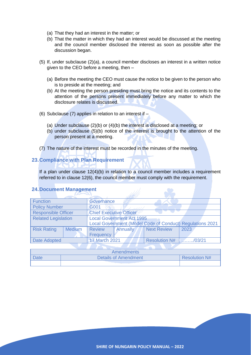- (a) That they had an interest in the matter; or
- (b) That the matter in which they had an interest would be discussed at the meeting and the council member disclosed the interest as soon as possible after the discussion began.
- (5) If, under subclause (2)(a), a council member discloses an interest in a written notice given to the CEO before a meeting, then –
	- (a) Before the meeting the CEO must cause the notice to be given to the person who is to preside at the meeting; and
	- (b) At the meeting the person presiding must bring the notice and its contents to the attention of the persons present immediately before any matter to which the disclosure relates is discussed.
- (6) Subclause (7) applies in relation to an interest if
	- (a) Under subclause (2)(b) or (4)(b) the interest is disclosed at a meeting; or
	- (b) under subclause (5)(b) notice of the interest is brought to the attention of the person present at a meeting.
- (7) The nature of the interest must be recorded in the minutes of the meeting.

## **23.Compliance with Plan Requirement**

If a plan under clause 12(4)(b) in relation to a council member includes a requirement referred to in clause 12(6), the council member must comply with the requirement.

#### **24.Document Management**

| <b>Function</b>            |               | Governance                       |                 |                      |                                                           |
|----------------------------|---------------|----------------------------------|-----------------|----------------------|-----------------------------------------------------------|
| <b>Policy Number</b>       |               | G001                             |                 |                      |                                                           |
| <b>Responsible Officer</b> |               | <b>Chief Executive Officer</b>   |                 |                      |                                                           |
| <b>Related Legislation</b> |               | <b>Local Government Act 1995</b> |                 |                      |                                                           |
|                            |               |                                  |                 |                      | Local Government (Model Code of Conduct) Regulations 2021 |
| <b>Risk Rating</b>         | <b>Medium</b> | <b>Review</b>                    | <b>Annually</b> | <b>Next Review</b>   | 2023                                                      |
|                            |               | Frequency                        |                 |                      |                                                           |
| <b>Date Adopted</b>        |               | <b>17 March 2021</b>             |                 | <b>Resolution N#</b> | /03/21                                                    |
|                            |               |                                  |                 |                      |                                                           |

|      | Amendments                  |               |
|------|-----------------------------|---------------|
| Date | <b>Details of Amendment</b> | Resolution N# |
|      |                             |               |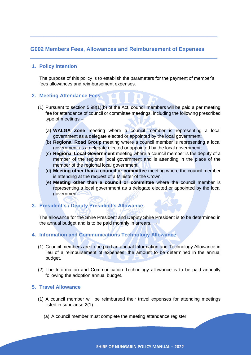# <span id="page-12-0"></span>**G002 Members Fees, Allowances and Reimbursement of Expenses**

**\_\_\_\_\_\_\_\_\_\_\_\_\_\_\_\_\_\_\_\_\_\_\_\_\_\_\_\_\_\_\_\_\_\_\_\_\_\_\_\_\_\_\_\_\_\_\_\_\_\_\_\_\_\_\_\_\_**

**\_\_\_\_\_\_\_\_\_\_\_\_\_\_\_\_\_\_\_\_\_\_\_\_\_\_\_\_\_\_\_\_\_\_\_\_\_\_\_\_\_\_\_\_\_\_\_\_\_\_\_\_\_\_\_\_\_**

## **1. Policy Intention**

The purpose of this policy is to establish the parameters for the payment of member's fees allowances and reimbursement expenses.

#### **2. Meeting Attendance Fees**

- (1) Pursuant to section 5.98(1)(b) of the Act, council members will be paid a per meeting fee for attendance of council or committee meetings, including the following prescribed type of meetings –
	- (a) **WALGA Zone** meeting where a council member is representing a local government as a delegate elected or appointed by the local government;
	- (b) **Regional Road Group** meeting where a council member is representing a local government as a delegate elected or appointed by the local government;
	- (c) **Regional Local Government** meeting where a council member is the deputy of a member of the regional local government and is attending in the place of the member of the regional local government;
	- (d) **Meeting other than a council or committee** meeting where the council member is attending at the request of a Minister of the Crown;
	- (e) **Meeting other than a council or committee** where the council member is representing a local government as a delegate elected or appointed by the local government.

# **3. President's / Deputy President's Allowance**

The allowance for the Shire President and Deputy Shire President is to be determined in the annual budget and is to be paid monthly in arrears.

# **4. Information and Communications Technology Allowance**

- (1) Council members are to be paid an annual Information and Technology Allowance in lieu of a reimbursement of expenses, the amount to be determined in the annual budget.
- (2) The Information and Communication Technology allowance is to be paid annually following the adoption annual budget.

## **5. Travel Allowance**

- (1) A council member will be reimbursed their travel expenses for attending meetings listed in subclause 2(1) –
	- (a) A council member must complete the meeting attendance register.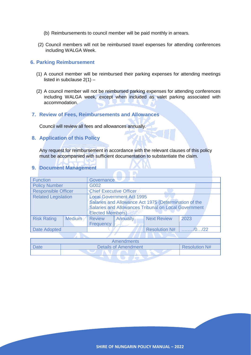- (b) Reimbursements to council member will be paid monthly in arrears.
- (2) Council members will not be reimbursed travel expenses for attending conferences including WALGA Week.

#### **6. Parking Reimbursement**

- (1) A council member will be reimbursed their parking expenses for attending meetings listed in subclause 2(1) –
- (2) A council member will not be reimbursed parking expenses for attending conferences including WALGA week, except when included as valet parking associated with accommodation.
- **7. Review of Fees, Reimbursements and Allowances**

Council will review all fees and allowances annually.

# **8. Application of this Policy**

Any request for reimbursement in accordance with the relevant clauses of this policy must be accompanied with sufficient documentation to substantiate the claim.

**9. Document Management**

| <b>Function</b>                             |               | Governance                                                                                                                                                                   |       |  |  |
|---------------------------------------------|---------------|------------------------------------------------------------------------------------------------------------------------------------------------------------------------------|-------|--|--|
| <b>Policy Number</b>                        |               | G002                                                                                                                                                                         |       |  |  |
| <b>Responsible Officer</b>                  |               | Chief Executive Officer                                                                                                                                                      |       |  |  |
| <b>Related Legislation</b>                  |               | <b>Local Government Act 1995</b><br>Salaries and Allowance Act 1975 (Determination of the<br>Salaries and Allowances Tribunal on Local Government<br><b>Elected Members)</b> |       |  |  |
| <b>Risk Rating</b>                          | <b>Medium</b> | Annually<br><b>Next Review</b><br>2023<br><b>Review</b><br>Frequency                                                                                                         |       |  |  |
| <b>Resolution N#</b><br><b>Date Adopted</b> |               |                                                                                                                                                                              | 10/22 |  |  |
|                                             |               |                                                                                                                                                                              |       |  |  |

| <b>Amendments</b>           |                      |
|-----------------------------|----------------------|
| <b>Details of Amendment</b> | <b>Resolution N#</b> |
|                             |                      |
|                             |                      |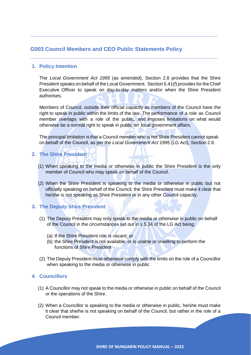# <span id="page-14-0"></span>**G003 Council Members and CEO Public Statements Policy**

# **1. Policy Intention**

The *Local Government Act 1995* (as amended), Section 2.8 provides that the Shire President speaks on behalf of the Local Government. Section 5.41(f) provides for the Chief Executive Officer to speak on day-to-day matters and/or when the Shire President authorises.

**\_\_\_\_\_\_\_\_\_\_\_\_\_\_\_\_\_\_\_\_\_\_\_\_\_\_\_\_\_\_\_\_\_\_\_\_\_\_\_\_\_\_\_\_\_\_\_\_\_\_\_\_\_\_\_\_\_**

**\_\_\_\_\_\_\_\_\_\_\_\_\_\_\_\_\_\_\_\_\_\_\_\_\_\_\_\_\_\_\_\_\_\_\_\_\_\_\_\_\_\_\_\_\_\_\_\_\_\_\_\_\_\_\_\_\_**

Members of Council, outside their official capacity as members of the Council have the right to speak in public within the limits of the law. The performance of a role as Council member overlaps with a role of the public, and imposes limitations on what would otherwise be a normal right to speak in public on local government affairs.

The principal limitation is that a Council member who is not Shire President cannot speak on behalf of the Council, as per the *Local Government Act 1995* (LG Act), Section 2.8.

# **2. The Shire President**

- (1) When speaking to the media or otherwise in public the Shire President is the only member of Council who may speak on behalf of the Council.
- (2) When the Shire President is speaking to the media or otherwise in public but not officially speaking on behalf of the Council, the Shire President must make it clear that he/she is not speaking as Shire President or in any other Council capacity.

# **3. The Deputy Shire President**

- (1) The Deputy President may only speak to the media or otherwise in public on behalf of the Council in the circumstances set out in s.5.34 of the LG Act being:
	- (a) If the Shire President role is vacant; or
	- (b) the Shire President is not available, or is unable or unwilling to perform the functions of Shire President
- (2) The Deputy President must otherwise comply with the limits on the role of a Councillor when speaking to the media or otherwise in public

# **4. Councillors**

- (1) A Councillor may not speak to the media or otherwise in public on behalf of the Council or the operations of the Shire.
- (2) When a Councillor is speaking to the media or otherwise in public, he/she must make it clear that she/he is not speaking on behalf of the Council, but rather in the role of a Council member.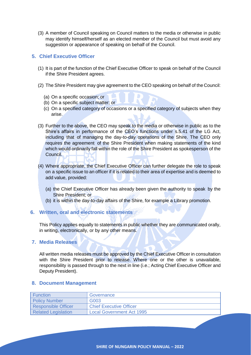(3) A member of Council speaking on Council matters to the media or otherwise in public may identify himself/herself as an elected member of the Council but must avoid any suggestion or appearance of speaking on behalf of the Council.

# **5. Chief Executive Officer**

- (1) It is part of the function of the Chief Executive Officer to speak on behalf of the Council if the Shire President agrees.
- (2) The Shire President may give agreement to the CEO speaking on behalf of the Council:
	- (a) On a specific occasion; or
	- (b) On a specific subject matter; or
	- (c) On a specified category of occasions or a specified category of subjects when they arise.
- (3) Further to the above, the CEO may speak to the media or otherwise in public as to the Shire's affairs in performance of the CEO's functions under s.5.41 of the LG Act, including that of managing the day-to-day operations of the Shire. The CEO only requires the agreement of the Shire President when making statements of the kind which would ordinarily fall within the role of the Shire President as spokesperson of the Council.
- (4) Where appropriate, the Chief Executive Officer can further delegate the role to speak on a specific issue to an officer if it is related to their area of expertise and is deemed to add value, provided:
	- (a) the Chief Executive Officer has already been given the authority to speak by the Shire President; or
	- (b) it is within the day-to-day affairs of the Shire, for example a Library promotion.

# **6. Written, oral and electronic statements**

This Policy applies equally to statements in public whether they are communicated orally, in writing, electronically, or by any other means.

## **7. Media Releases**

All written media releases must be approved by the Chief Executive Officer in consultation with the Shire President prior to release. Where one or the other is unavailable, responsibility is passed through to the next in line (i.e.; Acting Chief Executive Officer and Deputy President).

#### **8. Document Management**

| l Function                 | Governance                       |
|----------------------------|----------------------------------|
| <b>Policy Number</b>       | G003                             |
| <b>Responsible Officer</b> | <b>Chief Executive Officer</b>   |
| <b>Related Legislation</b> | <b>Local Government Act 1995</b> |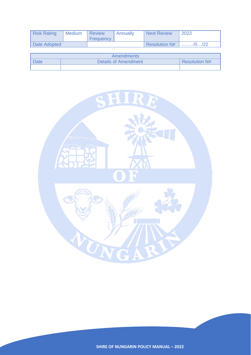| <b>Risk Rating</b> | <b>Medium</b> | Review<br><b>Frequency</b> | Annually | <b>Next Review</b>   | 2023 |
|--------------------|---------------|----------------------------|----------|----------------------|------|
| Date Adopted       |               |                            |          | <b>Resolution N#</b> |      |

| Amendments  |                      |                      |  |  |
|-------------|----------------------|----------------------|--|--|
| <b>Date</b> | Details of Amendment | <b>Resolution N#</b> |  |  |
|             |                      |                      |  |  |

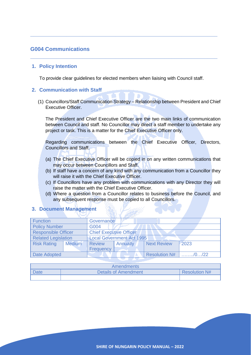# <span id="page-17-0"></span>**G004 Communications**

#### **1. Policy Intention**

To provide clear guidelines for elected members when liaising with Council staff.

**\_\_\_\_\_\_\_\_\_\_\_\_\_\_\_\_\_\_\_\_\_\_\_\_\_\_\_\_\_\_\_\_\_\_\_\_\_\_\_\_\_\_\_\_\_\_\_\_\_\_\_\_\_\_\_\_\_**

**\_\_\_\_\_\_\_\_\_\_\_\_\_\_\_\_\_\_\_\_\_\_\_\_\_\_\_\_\_\_\_\_\_\_\_\_\_\_\_\_\_\_\_\_\_\_\_\_\_\_\_\_\_\_\_\_\_**

#### **2. Communication with Staff**

(1) Councillors/Staff Communication Strategy – Relationship between President and Chief Executive Officer.

The President and Chief Executive Officer are the two main links of communication between Council and staff. No Councillor may direct a staff member to undertake any project or task. This is a matter for the Chief Executive Officer only.

Regarding communications between the Chief Executive Officer, Directors, Councillors and Staff.

- (a) The Chief Executive Officer will be copied in on any written communications that may occur between Councillors and Staff.
- (b) If staff have a concern of any kind with any communication from a Councillor they will raise it with the Chief Executive Officer.
- (c) If Councillors have any problem with communications with any Director they will raise the matter with the Chief Executive Officer.
- (d) Where a question from a Councillor relates to business before the Council, and any subsequent response must be copied to all Councillors.

| <b>Function</b>            |               | Governance                       |                 |                      |                     |
|----------------------------|---------------|----------------------------------|-----------------|----------------------|---------------------|
| <b>Policy Number</b>       |               | G004                             |                 |                      |                     |
| <b>Responsible Officer</b> |               | <b>Chief Executive Officer</b>   |                 |                      |                     |
| <b>Related Legislation</b> |               | <b>Local Government Act 1995</b> |                 |                      |                     |
| <b>Risk Rating</b>         | <b>Medium</b> | <b>Review</b>                    | <b>Annually</b> | <b>Next Review</b>   | 2023                |
|                            |               | Frequency                        |                 |                      |                     |
| Date Adopted               |               |                                  |                 | <b>Resolution N#</b> | $\ldots$ $/0$ $/22$ |

#### **3. Document Management**

| Amendments |                             |                 |  |  |
|------------|-----------------------------|-----------------|--|--|
| Date       | <b>Details of Amendment</b> | ∣ Resolution N# |  |  |
|            |                             |                 |  |  |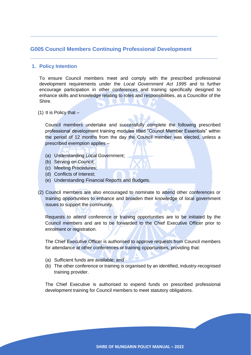# <span id="page-18-0"></span>**G005 Council Members Continuing Professional Development**

**\_\_\_\_\_\_\_\_\_\_\_\_\_\_\_\_\_\_\_\_\_\_\_\_\_\_\_\_\_\_\_\_\_\_\_\_\_\_\_\_\_\_\_\_\_\_\_\_\_\_\_\_\_\_\_\_\_**

**\_\_\_\_\_\_\_\_\_\_\_\_\_\_\_\_\_\_\_\_\_\_\_\_\_\_\_\_\_\_\_\_\_\_\_\_\_\_\_\_\_\_\_\_\_\_\_\_\_\_\_\_\_\_\_\_\_**

## **1. Policy Intention**

To ensure Council members meet and comply with the prescribed professional development requirements under the *Local Government Act 1995* and to further encourage participation in other conferences and training specifically designed to enhance skills and knowledge relating to roles and responsibilities, as a Councillor of the Shire.

(1) It is Policy that  $-$ 

Council members undertake and successfully complete the following prescribed professional development training modules titled "Council Member Essentials" within the period of 12 months from the day the Council member was elected, unless a prescribed exemption applies –

- (a) Understanding Local Government;
- (b) Serving on Council;
- (c) Meeting Procedures;
- (d) Conflicts of Interest;
- (e) Understanding Financial Reports and Budgets.
- (2) Council members are also encouraged to nominate to attend other conferences or training opportunities to enhance and broaden their knowledge of local government issues to support the community.

Requests to attend conference or training opportunities are to be initiated by the Council members and are to be forwarded to the Chief Executive Officer prior to enrolment or registration.

The Chief Executive Officer is authorised to approve requests from Council members for attendance at other conferences or training opportunities, providing that:

- (a) Sufficient funds are available; and
- (b) The other conference or training is organised by an identified, industry-recognised training provider.

The Chief Executive is authorised to expend funds on prescribed professional development training for Council members to meet statutory obligations.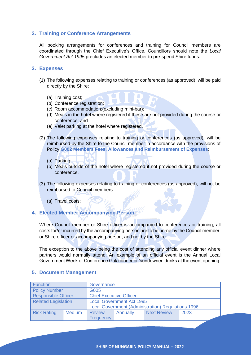# **2. Training or Conference Arrangements**

All booking arrangements for conferences and training for Council members are coordinated through the Chief Executive's Office. Councillors should note the *Local Government Act 1995* precludes an elected member to pre-spend Shire funds.

#### **3. Expenses**

- (1) The following expenses relating to training or conferences (as approved), will be paid directly by the Shire:
	- (a) Training cost;
	- (b) Conference registration;
	- (c) Room accommodation;(excluding mini-bar);
	- (d) Meals in the hotel where registered if these are not provided during the course or conference; and
	- (e) Valet parking at the hotel where registered.
- (2) The following expenses relating to training or conferences (as approved), will be reimbursed by the Shire to the Council member in accordance with the provisions of Policy **G002 Members Fees, Allowances and Reimbursement of Expenses:**
	- (a) Parking;
	- (b) Meals outside of the hotel where registered if not provided during the course or conference.
- (3) The following expenses relating to training or conferences (as approved), will not be reimbursed to Council members:
	- (a) Travel costs;

# **4. Elected Member Accompanying Person**

Where Council member or Shire officer is accompanied to conferences or training, all costs for/or incurred by the accompanying person are to be borne by the Council member, or Shire officer or accompanying person, and not by the Shire.

The exception to the above being the cost of attending any official event dinner where partners would normally attend. An example of an official event is the Annual Local Government Week or Conference Gala dinner or 'sundowner' drinks at the event opening.

| Function                   |               | Governance                                                                                    |  |  |  |
|----------------------------|---------------|-----------------------------------------------------------------------------------------------|--|--|--|
| <b>Policy Number</b>       |               | G005                                                                                          |  |  |  |
| <b>Responsible Officer</b> |               | <b>Chief Executive Officer</b>                                                                |  |  |  |
| <b>Related Legislation</b> |               | <b>Local Government Act 1995</b><br><b>Local Government (Administration) Regulations 1996</b> |  |  |  |
| <b>Risk Rating</b>         | <b>Medium</b> | <b>Next Review</b><br>2023<br>Annually<br><b>Review</b>                                       |  |  |  |
|                            |               | Frequency                                                                                     |  |  |  |

#### **5. Document Management**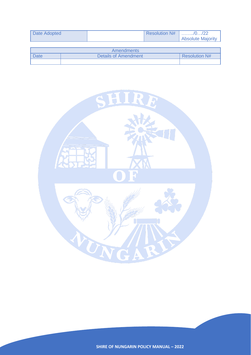| Date Adopted | <b>Resolution N#</b> | $\ldots \ldots \ldots \ldots \ldots \ldots \ldots \ldots$<br><b>Absolute Majority</b> |
|--------------|----------------------|---------------------------------------------------------------------------------------|
|              |                      |                                                                                       |

| <b>Amendments</b> |                             |                      |  |  |
|-------------------|-----------------------------|----------------------|--|--|
| <b>Date</b>       | <b>Details of Amendment</b> | <b>Resolution N#</b> |  |  |
|                   |                             |                      |  |  |

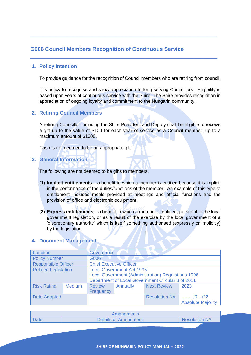# <span id="page-21-0"></span>**G006 Council Members Recognition of Continuous Service**

# **1. Policy Intention**

To provide guidance for the recognition of Council members who are retiring from council.

**\_\_\_\_\_\_\_\_\_\_\_\_\_\_\_\_\_\_\_\_\_\_\_\_\_\_\_\_\_\_\_\_\_\_\_\_\_\_\_\_\_\_\_\_\_\_\_\_\_\_\_\_\_\_\_\_\_**

**\_\_\_\_\_\_\_\_\_\_\_\_\_\_\_\_\_\_\_\_\_\_\_\_\_\_\_\_\_\_\_\_\_\_\_\_\_\_\_\_\_\_\_\_\_\_\_\_\_\_\_\_\_\_\_\_\_**

It is policy to recognise and show appreciation to long serving Councillors. Eligibility is based upon years of continuous service with the Shire. The Shire provides recognition in appreciation of ongoing loyalty and commitment to the Nungarin community.

## **2. Retiring Council Members**

A retiring Councillor including the Shire President and Deputy shall be eligible to receive a gift up to the value of \$100 for each year of service as a Council member, up to a maximum amount of \$1000.

Cash is not deemed to be an appropriate gift.

**3. General Information**

The following are not deemed to be gifts to members.

- **(1) Implicit entitlements** a benefit to which a member is entitled because it is implicit in the performance of the duties/functions of the member. An example of this type of entitlement includes meals provided at meetings and official functions and the provision of office and electronic equipment.
- **(2) Express entitlements** a benefit to which a member is entitled, pursuant to the local government legislation, or as a result of the exercise by the local government of a 'discretionary authority' which is itself something authorised (expressly or implicitly) by the legislation.

| <b>Function</b>            |               | <b>Governance</b>                                         |          |                      |                                                                  |
|----------------------------|---------------|-----------------------------------------------------------|----------|----------------------|------------------------------------------------------------------|
| <b>Policy Number</b>       |               | G006                                                      |          |                      |                                                                  |
| <b>Responsible Officer</b> |               | <b>Chief Executive Officer</b>                            |          |                      |                                                                  |
| <b>Related Legislation</b> |               | <b>Local Government Act 1995</b>                          |          |                      |                                                                  |
|                            |               | <b>Local Government (Administration) Regulations 1996</b> |          |                      |                                                                  |
|                            |               | Department of Local Government Circular 8 of 2011         |          |                      |                                                                  |
| <b>Risk Rating</b>         | <b>Medium</b> | <b>Review</b>                                             | Annually | <b>Next Review</b>   | 2023                                                             |
|                            |               | Frequency                                                 |          |                      |                                                                  |
| <b>Date Adopted</b>        |               |                                                           |          | <b>Resolution N#</b> | $\ldots \ldots \ldots \ldots \ldots \ldots \ldots \ldots \ldots$ |
|                            |               |                                                           |          |                      | <b>Absolute Majority</b>                                         |

#### **4. Document Management**

| Amendments  |                             |                      |  |  |
|-------------|-----------------------------|----------------------|--|--|
| <b>Date</b> | <b>Details of Amendment</b> | <b>Resolution N#</b> |  |  |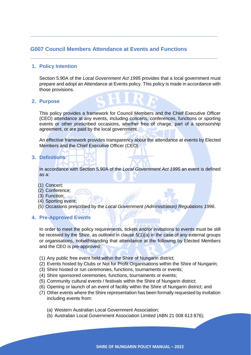# <span id="page-22-0"></span>**G007 Council Members Attendance at Events and Functions**

# **1. Policy Intention**

Section 5.90A of the *Local Government Act 1995* provides that a local government must prepare and adopt an Attendance at Events policy. This policy is made in accordance with those provisions.

**\_\_\_\_\_\_\_\_\_\_\_\_\_\_\_\_\_\_\_\_\_\_\_\_\_\_\_\_\_\_\_\_\_\_\_\_\_\_\_\_\_\_\_\_\_\_\_\_\_\_\_\_\_\_\_\_\_**

**\_\_\_\_\_\_\_\_\_\_\_\_\_\_\_\_\_\_\_\_\_\_\_\_\_\_\_\_\_\_\_\_\_\_\_\_\_\_\_\_\_\_\_\_\_\_\_\_\_\_\_\_\_\_\_\_\_**

#### **2. Purpose**

This policy provides a framework for Council Members and the Chief Executive Officer (CEO) attendance at any events, including concerts, conferences, functions or sporting events or other prescribed occasions, whether free of charge, part of a sponsorship agreement, or are paid by the local government.

An effective framework provides transparency about the attendance at events by Elected Members and the Chief Executive Officer (CEO).

**3. Definitions**

In accordance with Section 5.90A of the *Local Government Act 1995* an event is defined as a:

- (1) Concert;
- (2) Conference;
- (3) Function;
- (4) Sporting event;
- (5) Occasions prescribed by the *Local Government (Administration) Regulations 1996*.

## **4. Pre-Approved Events**

In order to meet the policy requirements, tickets and/or invitations to events must be still be received by the Shire, as outlined in clause 5(1)(a) in the case of any external groups or organisations, notwithstanding that attendance at the following by Elected Members and the CEO is pre-approved:

- (1) Any public free event held within the Shire of Nungarin district;
- (2) Events hosted by Clubs or Not for Profit Organisations within the Shire of Nungarin;
- (3) Shire hosted or run ceremonies, functions, tournaments or events;
- (4) Shire sponsored ceremonies, functions, tournaments or events;
- (5) Community cultural events / festivals within the Shire of Nungarin district;
- (6) Opening or launch of an event of facility within the Shire of Nungarin district; and
- (7) Other events where the Shire representation has been formally requested by invitation including events from:
	- (a) Western Australian Local Government Association;
	- (b) Australian Local Government Association Limited (ABN 21 008 613 876);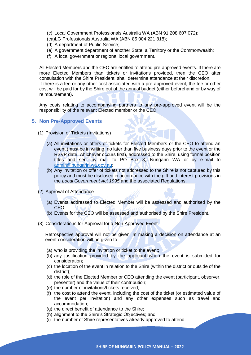- (c) Local Government Professionals Australia WA (ABN 91 208 607 072);
- (ca)LG Professionals Australia WA (ABN 85 004 221 818);
- (d) A department of Public Service;
- (e) A government department of another State, a Territory or the Commonwealth;
- (f) A local government or regional local government.

All Elected Members and the CEO are entitled to attend pre-approved events. If there are more Elected Members than tickets or invitations provided, then the CEO after consultation with the Shire President, shall determine attendance at their discretion. If there is a fee or any other cost associated with a pre-approved event, the fee or other cost will be paid for by the Shire out of the annual budget (either beforehand or by way of reimbursement).

Any costs relating to accompanying partners to any pre-approved event will be the responsibility of the relevant Elected member or the CEO.

# **5. Non Pre-Approved Events**

- (1) Provision of Tickets (Invitations)
	- (a) All invitations or offers of tickets for Elected Members or the CEO to attend an event (must be in writing, no later than five business days prior to the event or the RSVP date, whichever occurs first), addressed to the Shire, using formal position titles and sent by mail to PO Box 8, Nungarin WA or by e-mail to [admin@nungarin.wa.gov.au;](mailto:admin@nungarin.wa.gov.au)
	- (b) Any invitation or offer of tickets not addressed to the Shire is not captured by this policy and must be disclosed in accordance with the gift and interest provisions in the *Local Government Act 1995* and the associated Regulations.
- (2) Approval of Attendance
	- (a) Events addressed to Elected Member will be assessed and authorised by the CEO;
	- (b) Events for the CEO will be assessed and authorised by the Shire President.
- (3) Considerations for Approval for a Non-Approved Event.

Retrospective approval will not be given. In making a decision on attendance at an event consideration will be given to:

- (a) who is providing the invitation or ticket to the event;
- (b) any justification provided by the applicant when the event is submitted for consideration;
- (c) the location of the event in relation to the Shire (within the district or outside of the district);
- (d) the role of the Elected Member or CEO attending the event (participant, observer, presenter) and the value of their contribution;
- (e) the number of invitations/tickets received;
- (f) the cost to attend the event, including the cost of the ticket (or estimated value of the event per invitation) and any other expenses such as travel and accommodation;
- (g) the direct benefit of attendance to the Shire;
- (h) alignment to the Shire's Strategic Objectives; and,
- (i) the number of Shire representatives already approved to attend.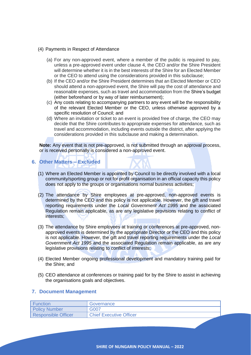- (4) Payments in Respect of Attendance
	- (a) For any non-approved event, where a member of the public is required to pay, unless a pre-approved event under clause 4, the CEO and/or the Shire President will determine whether it is in the best interests of the Shire for an Elected Member or the CEO to attend using the considerations provided in this subclause;
	- (b) If the CEO and/or the Shire President determines that an Elected Member or CEO should attend a non-approved event, the Shire will pay the cost of attendance and reasonable expenses, such as travel and accommodation from the Shire's budget (either beforehand or by way of later reimbursement);
	- (c) Any costs relating to accompanying partners to any event will be the responsibility of the relevant Elected Member or the CEO, unless otherwise approved by a specific resolution of Council; and
	- (d) Where an invitation or ticket to an event is provided free of charge, the CEO may decide that the Shire contributes to appropriate expenses for attendance, such as travel and accommodation, including events outside the district, after applying the considerations provided in this subclause and making a determination.

**Note:** Any event that is not pre-approved, is not submitted through an approval process, or is received personally is considered a non-approved event.

- **6. Other Matters – Excluded**
	- (1) Where an Elected Member is appointed by Council to be directly involved with a local community/sporting group or not for profit organisation in an official capacity this policy does not apply to the groups or organisations normal business activities;
	- (2) The attendance by Shire employees at pre-approved, non-approved events is determined by the CEO and this policy is not applicable. However, the gift and travel reporting requirements under the *Local Government Act 1995* and the associated Regulation remain applicable, as are any legislative provisions relating to conflict of interests;
	- (3) The attendance by Shire employees at training or conferences at pre-approved, nonapproved events is determined by the appropriate Director or the CEO and this policy is not applicable. However, the gift and travel reporting requirements under the *Local Government Act 1995* and the associated Regulation remain applicable, as are any legislative provisions relating to conflict of interests;
	- (4) Elected Member ongoing professional development and mandatory training paid for the Shire; and
	- (5) CEO attendance at conferences or training paid for by the Shire to assist in achieving the organisations goals and objectives.

## **7. Document Management**

| Function                   | Governance                     |
|----------------------------|--------------------------------|
| <b>Policy Number</b>       | G007                           |
| <b>Responsible Officer</b> | <b>Chief Executive Officer</b> |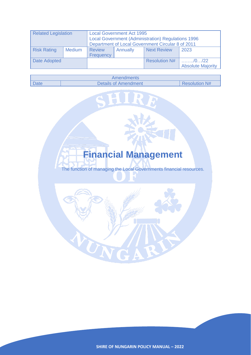| <b>Related Legislation</b> |               | <b>Local Government Act 1995</b><br><b>Local Government (Administration) Regulations 1996</b><br>Department of Local Government Circular 8 of 2011 |          |                      |                                                                                |  |
|----------------------------|---------------|----------------------------------------------------------------------------------------------------------------------------------------------------|----------|----------------------|--------------------------------------------------------------------------------|--|
| <b>Risk Rating</b>         | <b>Medium</b> | <b>Review</b><br>Frequency                                                                                                                         | Annually | <b>Next Review</b>   | 2023                                                                           |  |
| Date Adopted               |               |                                                                                                                                                    |          | <b>Resolution N#</b> | $\ldots \ldots \ldots \ldots \ldots \ldots \ldots$<br><b>Absolute Majority</b> |  |

| Amendments  |                             |                      |  |  |
|-------------|-----------------------------|----------------------|--|--|
| <b>Date</b> | <b>Details of Amendment</b> | <b>Resolution N#</b> |  |  |

SHI

<span id="page-25-0"></span>

UNGA

**SHIRE OF NUNGARIN POLICY MANUAL – 2022** 

RJ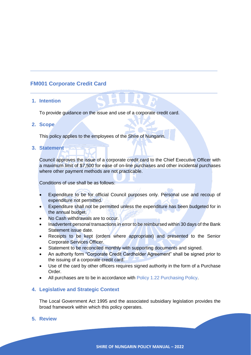# <span id="page-26-0"></span>**FM001 Corporate Credit Card**

## **1. Intention**

To provide guidance on the issue and use of a corporate credit card.

**\_\_\_\_\_\_\_\_\_\_\_\_\_\_\_\_\_\_\_\_\_\_\_\_\_\_\_\_\_\_\_\_\_\_\_\_\_\_\_\_\_\_\_\_\_\_\_\_\_\_\_\_\_\_\_\_\_**

**\_\_\_\_\_\_\_\_\_\_\_\_\_\_\_\_\_\_\_\_\_\_\_\_\_\_\_\_\_\_\_\_\_\_\_\_\_\_\_\_\_\_\_\_\_\_\_\_\_\_\_\_\_\_\_\_\_**

## **2. Scope**

This policy applies to the employees of the Shire of Nungarin.

**3. Statement**

Council approves the issue of a corporate credit card to the Chief Executive Officer with a maximum limit of \$7,500 for ease of on-line purchases and other incidental purchases where other payment methods are not practicable.

Conditions of use shall be as follows:

- Expenditure to be for official Council purposes only. Personal use and recoup of expenditure not permitted.
- Expenditure shall not be permitted unless the expenditure has been budgeted for in the annual budget.
- No Cash withdrawals are to occur.
- Inadvertent personal transactions in error to be reimbursed within 30 days of the Bank Statement issue date.
- Receipts to be kept (orders where appropriate) and presented to the Senior Corporate Services Officer.
- Statement to be reconciled monthly with supporting documents and signed.
- An authority form "Corporate Credit Cardholder Agreement" shall be signed prior to the issuing of a corporate credit card.
- Use of the card by other officers requires signed authority in the form of a Purchase Order.
- All purchases are to be in accordance with Policy 1.22 Purchasing Policy.

# **4. Legislative and Strategic Context**

The Local Government Act 1995 and the associated subsidiary legislation provides the broad framework within which this policy operates.

## **5. Review**